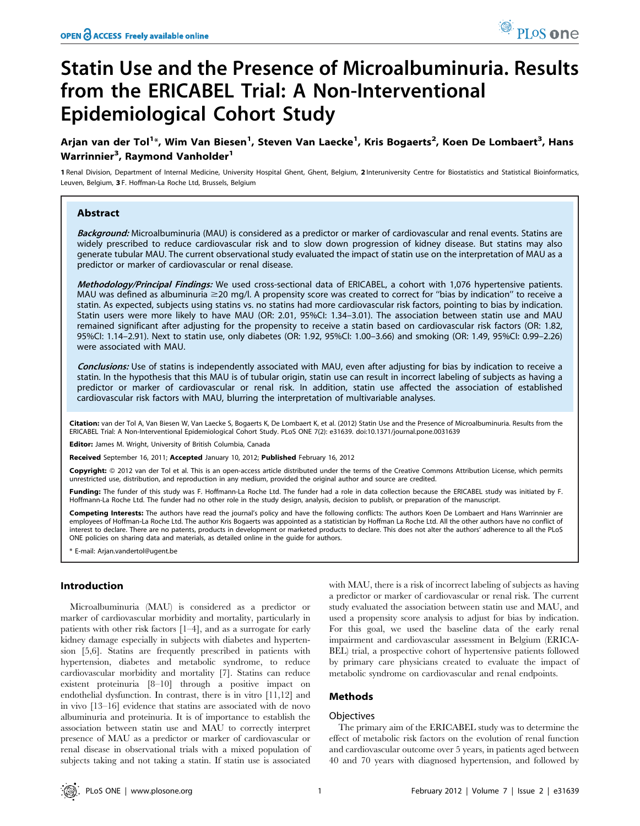# Statin Use and the Presence of Microalbuminuria. Results from the ERICABEL Trial: A Non-Interventional Epidemiological Cohort Study

# Arjan van der Tol<sup>1</sup>\*, Wim Van Biesen<sup>1</sup>, Steven Van Laecke<sup>1</sup>, Kris Bogaerts<sup>2</sup>, Koen De Lombaert<sup>3</sup>, Hans Warrinnier<sup>3</sup>, Raymond Vanholder<sup>1</sup>

1 Renal Division, Department of Internal Medicine, University Hospital Ghent, Ghent, Belgium, 2 Interuniversity Centre for Biostatistics and Statistical Bioinformatics, Leuven, Belgium, 3 F. Hoffman-La Roche Ltd, Brussels, Belgium

# Abstract

Background: Microalbuminuria (MAU) is considered as a predictor or marker of cardiovascular and renal events. Statins are widely prescribed to reduce cardiovascular risk and to slow down progression of kidney disease. But statins may also generate tubular MAU. The current observational study evaluated the impact of statin use on the interpretation of MAU as a predictor or marker of cardiovascular or renal disease.

Methodology/Principal Findings: We used cross-sectional data of ERICABEL, a cohort with 1,076 hypertensive patients. MAU was defined as albuminuria  $\geq 20$  mg/l. A propensity score was created to correct for "bias by indication" to receive a statin. As expected, subjects using statins vs. no statins had more cardiovascular risk factors, pointing to bias by indication. Statin users were more likely to have MAU (OR: 2.01, 95%CI: 1.34–3.01). The association between statin use and MAU remained significant after adjusting for the propensity to receive a statin based on cardiovascular risk factors (OR: 1.82, 95%CI: 1.14–2.91). Next to statin use, only diabetes (OR: 1.92, 95%CI: 1.00–3.66) and smoking (OR: 1.49, 95%CI: 0.99–2.26) were associated with MAU.

Conclusions: Use of statins is independently associated with MAU, even after adjusting for bias by indication to receive a statin. In the hypothesis that this MAU is of tubular origin, statin use can result in incorrect labeling of subjects as having a predictor or marker of cardiovascular or renal risk. In addition, statin use affected the association of established cardiovascular risk factors with MAU, blurring the interpretation of multivariable analyses.

Citation: van der Tol A, Van Biesen W, Van Laecke S, Bogaerts K, De Lombaert K, et al. (2012) Statin Use and the Presence of Microalbuminuria. Results from the ERICABEL Trial: A Non-Interventional Epidemiological Cohort Study. PLoS ONE 7(2): e31639. doi:10.1371/journal.pone.0031639

Editor: James M. Wright, University of British Columbia, Canada

Received September 16, 2011; Accepted January 10, 2012; Published February 16, 2012

Copyright: © 2012 van der Tol et al. This is an open-access article distributed under the terms of the Creative Commons Attribution License, which permits unrestricted use, distribution, and reproduction in any medium, provided the original author and source are credited.

Funding: The funder of this study was F. Hoffmann-La Roche Ltd. The funder had a role in data collection because the ERICABEL study was initiated by F. Hoffmann-La Roche Ltd. The funder had no other role in the study design, analysis, decision to publish, or preparation of the manuscript.

Competing Interests: The authors have read the journal's policy and have the following conflicts: The authors Koen De Lombaert and Hans Warrinnier are employees of Hoffman-La Roche Ltd. The author Kris Bogaerts was appointed as a statistician by Hoffman La Roche Ltd. All the other authors have no conflict of interest to declare. There are no patents, products in development or marketed products to declare. This does not alter the authors' adherence to all the PLoS ONE policies on sharing data and materials, as detailed online in the guide for authors.

E-mail: Arjan.vandertol@ugent.be

# Introduction

Microalbuminuria (MAU) is considered as a predictor or marker of cardiovascular morbidity and mortality, particularly in patients with other risk factors [1–4], and as a surrogate for early kidney damage especially in subjects with diabetes and hypertension [5,6]. Statins are frequently prescribed in patients with hypertension, diabetes and metabolic syndrome, to reduce cardiovascular morbidity and mortality [7]. Statins can reduce existent proteinuria [8–10] through a positive impact on endothelial dysfunction. In contrast, there is in vitro [11,12] and in vivo [13–16] evidence that statins are associated with de novo albuminuria and proteinuria. It is of importance to establish the association between statin use and MAU to correctly interpret presence of MAU as a predictor or marker of cardiovascular or renal disease in observational trials with a mixed population of subjects taking and not taking a statin. If statin use is associated

with MAU, there is a risk of incorrect labeling of subjects as having a predictor or marker of cardiovascular or renal risk. The current study evaluated the association between statin use and MAU, and used a propensity score analysis to adjust for bias by indication. For this goal, we used the baseline data of the early renal impairment and cardiovascular assessment in Belgium (ERICA-BEL) trial, a prospective cohort of hypertensive patients followed by primary care physicians created to evaluate the impact of metabolic syndrome on cardiovascular and renal endpoints.

# Methods

#### **Objectives**

The primary aim of the ERICABEL study was to determine the effect of metabolic risk factors on the evolution of renal function and cardiovascular outcome over 5 years, in patients aged between 40 and 70 years with diagnosed hypertension, and followed by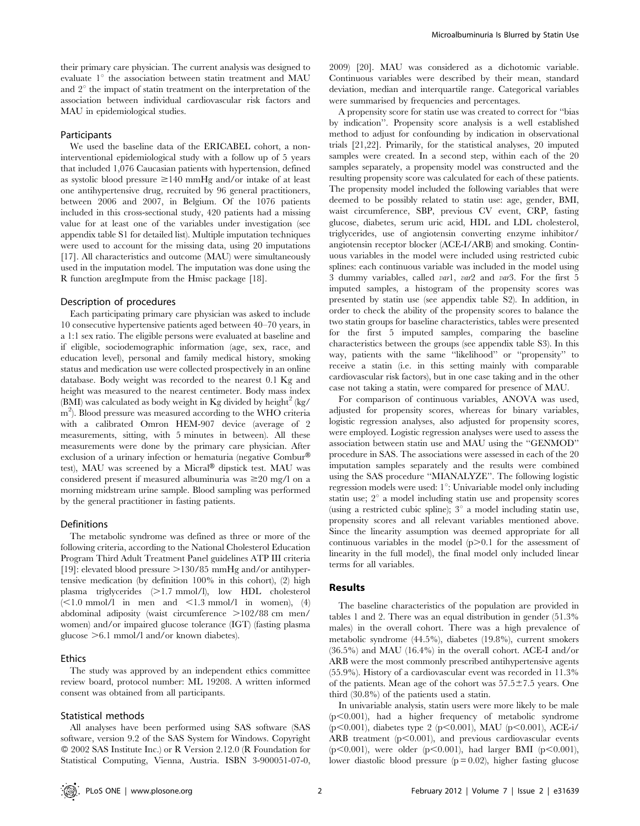their primary care physician. The current analysis was designed to evaluate  $1^\circ$  the association between statin treatment and MAU and  $2^{\circ}$  the impact of statin treatment on the interpretation of the association between individual cardiovascular risk factors and MAU in epidemiological studies.

# Participants

We used the baseline data of the ERICABEL cohort, a noninterventional epidemiological study with a follow up of 5 years that included 1,076 Caucasian patients with hypertension, defined as systolic blood pressure  $\geq 140$  mmHg and/or intake of at least one antihypertensive drug, recruited by 96 general practitioners, between 2006 and 2007, in Belgium. Of the 1076 patients included in this cross-sectional study, 420 patients had a missing value for at least one of the variables under investigation (see appendix table S1 for detailed list). Multiple imputation techniques were used to account for the missing data, using 20 imputations [17]. All characteristics and outcome (MAU) were simultaneously used in the imputation model. The imputation was done using the R function aregImpute from the Hmisc package [18].

#### Description of procedures

Each participating primary care physician was asked to include 10 consecutive hypertensive patients aged between 40–70 years, in a 1:1 sex ratio. The eligible persons were evaluated at baseline and if eligible, sociodemographic information (age, sex, race, and education level), personal and family medical history, smoking status and medication use were collected prospectively in an online database. Body weight was recorded to the nearest 0.1 Kg and height was measured to the nearest centimeter. Body mass index (BMI) was calculated as body weight in Kg divided by height<sup>2</sup> (kg/ m2 ). Blood pressure was measured according to the WHO criteria with a calibrated Omron HEM-907 device (average of 2 measurements, sitting, with 5 minutes in between). All these measurements were done by the primary care physician. After exclusion of a urinary infection or hematuria (negative  $Combur^{\circledR}$ test), MAU was screened by a Micral® dipstick test. MAU was considered present if measured albuminuria was  $\geq 20$  mg/l on a morning midstream urine sample. Blood sampling was performed by the general practitioner in fasting patients.

#### Definitions

The metabolic syndrome was defined as three or more of the following criteria, according to the National Cholesterol Education Program Third Adult Treatment Panel guidelines ATP III criteria [19]: elevated blood pressure  $>$ 130/85 mmHg and/or antihypertensive medication (by definition 100% in this cohort), (2) high plasma triglycerides (>1.7 mmol/l), low HDL cholesterol  $\leq$ 1.0 mmol/l in men and  $\leq$ 1.3 mmol/l in women), (4) abdominal adiposity (waist circumference  $>102/88$  cm men/ women) and/or impaired glucose tolerance (IGT) (fasting plasma glucose  $>6.1$  mmol/l and/or known diabetes).

## Ethics

The study was approved by an independent ethics committee review board, protocol number: ML 19208. A written informed consent was obtained from all participants.

# Statistical methods

All analyses have been performed using SAS software (SAS software, version 9.2 of the SAS System for Windows. Copyright - 2002 SAS Institute Inc.) or R Version 2.12.0 (R Foundation for Statistical Computing, Vienna, Austria. ISBN 3-900051-07-0,

2009) [20]. MAU was considered as a dichotomic variable. Continuous variables were described by their mean, standard deviation, median and interquartile range. Categorical variables were summarised by frequencies and percentages.

A propensity score for statin use was created to correct for ''bias by indication''. Propensity score analysis is a well established method to adjust for confounding by indication in observational trials [21,22]. Primarily, for the statistical analyses, 20 imputed samples were created. In a second step, within each of the 20 samples separately, a propensity model was constructed and the resulting propensity score was calculated for each of these patients. The propensity model included the following variables that were deemed to be possibly related to statin use: age, gender, BMI, waist circumference, SBP, previous CV event, CRP, fasting glucose, diabetes, serum uric acid, HDL and LDL cholesterol, triglycerides, use of angiotensin converting enzyme inhibitor/ angiotensin receptor blocker (ACE-I/ARB) and smoking. Continuous variables in the model were included using restricted cubic splines: each continuous variable was included in the model using 3 dummy variables, called var1, var2 and var3. For the first 5 imputed samples, a histogram of the propensity scores was presented by statin use (see appendix table S2). In addition, in order to check the ability of the propensity scores to balance the two statin groups for baseline characteristics, tables were presented for the first 5 imputed samples, comparing the baseline characteristics between the groups (see appendix table S3). In this way, patients with the same ''likelihood'' or ''propensity'' to receive a statin (i.e. in this setting mainly with comparable cardiovascular risk factors), but in one case taking and in the other case not taking a statin, were compared for presence of MAU.

For comparison of continuous variables, ANOVA was used, adjusted for propensity scores, whereas for binary variables, logistic regression analyses, also adjusted for propensity scores, were employed. Logistic regression analyses were used to assess the association between statin use and MAU using the ''GENMOD'' procedure in SAS. The associations were assessed in each of the 20 imputation samples separately and the results were combined using the SAS procedure ''MIANALYZE''. The following logistic regression models were used:  $1^\circ$ : Univariable model only including statin use;  $2^{\circ}$  a model including statin use and propensity scores (using a restricted cubic spline);  $3^\circ$  a model including statin use, propensity scores and all relevant variables mentioned above. Since the linearity assumption was deemed appropriate for all continuous variables in the model  $(p>0.1$  for the assessment of linearity in the full model), the final model only included linear terms for all variables.

# Results

The baseline characteristics of the population are provided in tables 1 and 2. There was an equal distribution in gender (51.3% males) in the overall cohort. There was a high prevalence of metabolic syndrome (44.5%), diabetes (19.8%), current smokers (36.5%) and MAU (16.4%) in the overall cohort. ACE-I and/or ARB were the most commonly prescribed antihypertensive agents (55.9%). History of a cardiovascular event was recorded in 11.3% of the patients. Mean age of the cohort was  $57.5\pm7.5$  years. One third (30.8%) of the patients used a statin.

In univariable analysis, statin users were more likely to be male  $(p<0.001)$ , had a higher frequency of metabolic syndrome (p<0.001), diabetes type 2 (p<0.001), MAU (p<0.001), ACE-i/ ARB treatment  $(p<0.001)$ , and previous cardiovascular events (p $<0.001$ ), were older (p $<0.001$ ), had larger BMI (p $<0.001$ ), lower diastolic blood pressure  $(p = 0.02)$ , higher fasting glucose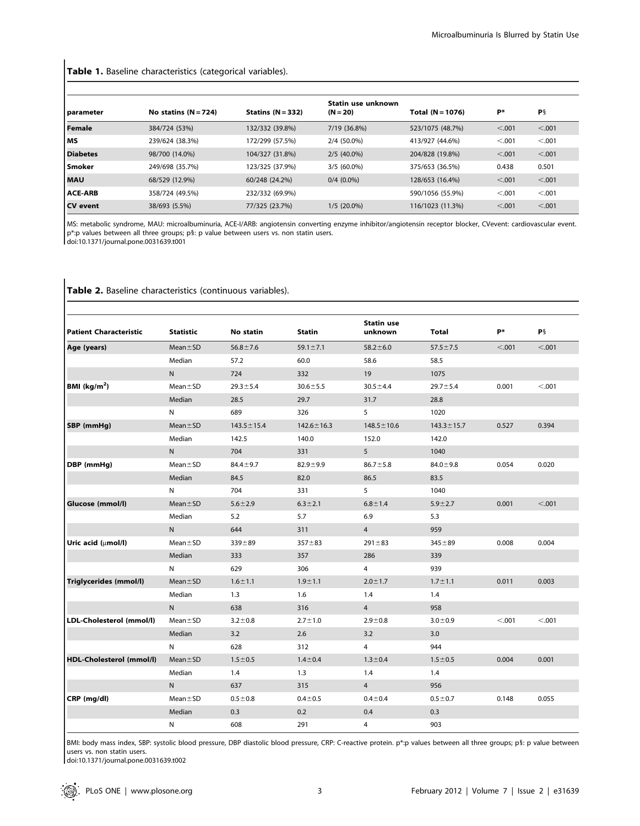# Table 1. Baseline characteristics (categorical variables).

| parameter       | No statins $(N = 724)$ | Statins $(N = 332)$ | Statin use unknown<br>$(N = 20)$ | Total (N = 1076) | <b>P</b> * | P§      |
|-----------------|------------------------|---------------------|----------------------------------|------------------|------------|---------|
| <b>Female</b>   | 384/724 (53%)          | 132/332 (39.8%)     | 7/19 (36.8%)                     | 523/1075 (48.7%) | < .001     | < 0.001 |
| мs              | 239/624 (38.3%)        | 172/299 (57.5%)     | 2/4 (50.0%)                      | 413/927 (44.6%)  | < 0.001    | < 0.001 |
| <b>Diabetes</b> | 98/700 (14.0%)         | 104/327 (31.8%)     | $2/5(40.0\%)$                    | 204/828 (19.8%)  | < .001     | < 0.001 |
| Smoker          | 249/698 (35.7%)        | 123/325 (37.9%)     | $3/5(60.0\%)$                    | 375/653 (36.5%)  | 0.438      | 0.501   |
| <b>MAU</b>      | 68/529 (12.9%)         | 60/248 (24.2%)      | $0/4$ (0.0%)                     | 128/653 (16.4%)  | < .001     | < 0.001 |
| <b>ACE-ARB</b>  | 358/724 (49.5%)        | 232/332 (69.9%)     |                                  | 590/1056 (55.9%) | < 0.001    | < 0.001 |
| CV event        | 38/693 (5.5%)          | 77/325 (23.7%)      | $1/5(20.0\%)$                    | 116/1023 (11.3%) | < .001     | < 0.001 |

MS: metabolic syndrome, MAU: microalbuminuria, ACE-I/ARB: angiotensin converting enzyme inhibitor/angiotensin receptor blocker, CVevent: cardiovascular event.<br>p\*:p values between all three groups; p§: p value between users doi:10.1371/journal.pone.0031639.t001

| <b>Patient Characteristic</b> | <b>Statistic</b> | <b>No statin</b> | <b>Statin</b>    | <b>Statin use</b><br>unknown | <b>Total</b>     | P*     | P§     |
|-------------------------------|------------------|------------------|------------------|------------------------------|------------------|--------|--------|
| Age (years)                   | $Mean \pm SD$    | $56.8 \pm 7.6$   | $59.1 \pm 7.1$   | $58.2 \pm 6.0$               | $57.5 \pm 7.5$   | < .001 | < .001 |
|                               | Median           | 57.2             | 60.0             | 58.6                         | 58.5             |        |        |
|                               | N                | 724              | 332              | 19                           | 1075             |        |        |
| BMI (kg/m <sup>2</sup> )      | $Mean \pm SD$    | $29.3 \pm 5.4$   | $30.6 \pm 5.5$   | $30.5 \pm 4.4$               | $29.7 \pm 5.4$   | 0.001  | < .001 |
|                               | Median           | 28.5             | 29.7             | 31.7                         | 28.8             |        |        |
|                               | N                | 689              | 326              | 5                            | 1020             |        |        |
| SBP (mmHg)                    | $Mean \pm SD$    | $143.5 \pm 15.4$ | $142.6 \pm 16.3$ | $148.5 \pm 10.6$             | $143.3 \pm 15.7$ | 0.527  | 0.394  |
|                               | Median           | 142.5            | 140.0            | 152.0                        | 142.0            |        |        |
|                               | N                | 704              | 331              | 5                            | 1040             |        |        |
| DBP (mmHg)                    | $Mean \pm SD$    | $84.4 \pm 9.7$   | $82.9 + 9.9$     | $86.7 \pm 5.8$               | $84.0 \pm 9.8$   | 0.054  | 0.020  |
|                               | Median           | 84.5             | 82.0             | 86.5                         | 83.5             |        |        |
|                               | N                | 704              | 331              | 5                            | 1040             |        |        |
| Glucose (mmol/l)              | $Mean \pm SD$    | $5.6 + 2.9$      | $6.3 \pm 2.1$    | $6.8 + 1.4$                  | $5.9 + 2.7$      | 0.001  | < .001 |
|                               | Median           | 5.2              | 5.7              | 6.9                          | 5.3              |        |        |
|                               | N                | 644              | 311              | 4                            | 959              |        |        |
| Uric acid (umol/l)            | $Mean \pm SD$    | $339 + 89$       | $357 + 83$       | $291 \pm 83$                 | $345 + 89$       | 0.008  | 0.004  |
|                               | Median           | 333              | 357              | 286                          | 339              |        |        |
|                               | N                | 629              | 306              | 4                            | 939              |        |        |
| Triglycerides (mmol/l)        | $Mean \pm SD$    | $1.6 \pm 1.1$    | $1.9 + 1.1$      | $2.0 \pm 1.7$                | $1.7 \pm 1.1$    | 0.011  | 0.003  |
|                               | Median           | 1.3              | 1.6              | 1.4                          | 1.4              |        |        |
|                               | N                | 638              | 316              | $\overline{4}$               | 958              |        |        |
| LDL-Cholesterol (mmol/l)      | $Mean \pm SD$    | $3.2 \pm 0.8$    | $2.7 \pm 1.0$    | $2.9 + 0.8$                  | $3.0 \pm 0.9$    | < .001 | < 0.01 |
|                               | Median           | 3.2              | 2.6              | 3.2                          | 3.0              |        |        |
|                               | N                | 628              | 312              | 4                            | 944              |        |        |
| HDL-Cholesterol (mmol/l)      | $Mean \pm SD$    | $1.5 \pm 0.5$    | $1.4 \pm 0.4$    | $1.3 \pm 0.4$                | $1.5 \pm 0.5$    | 0.004  | 0.001  |
|                               | Median           | 1.4              | 1.3              | 1.4                          | 1.4              |        |        |
|                               | ${\sf N}$        | 637              | 315              | 4                            | 956              |        |        |
| CRP (mg/dl)                   | $Mean \pm SD$    | $0.5 + 0.8$      | $0.4 + 0.5$      | $0.4 + 0.4$                  | $0.5 - 0.7$      | 0.148  | 0.055  |
|                               | Median           | 0.3              | 0.2              | 0.4                          | 0.3              |        |        |
|                               | N                | 608              | 291              | 4                            | 903              |        |        |

# Table 2. Baseline characteristics (continuous variables).

BMI: body mass index, SBP: systolic blood pressure, DBP diastolic blood pressure, CRP: C-reactive protein. p\*:p values between all three groups; p§: p value between users vs. non statin users.

doi:10.1371/journal.pone.0031639.t002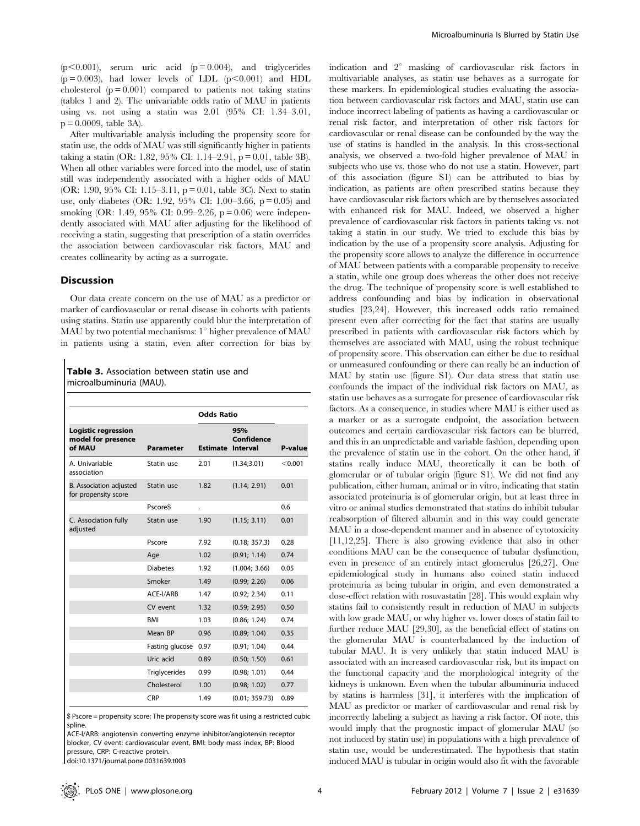$(p<0.001)$ , serum uric acid  $(p=0.004)$ , and triglycerides  $(p=0.003)$ , had lower levels of LDL  $(p<0.001)$  and HDL cholesterol  $(p = 0.001)$  compared to patients not taking stating (tables 1 and 2). The univariable odds ratio of MAU in patients using vs. not using a statin was 2.01 (95% CI: 1.34–3.01,  $p = 0.0009$ , table 3A).

After multivariable analysis including the propensity score for statin use, the odds of MAU was still significantly higher in patients taking a statin (OR: 1.82, 95% CI: 1.14–2.91,  $p = 0.01$ , table 3B). When all other variables were forced into the model, use of statin still was independently associated with a higher odds of MAU (OR: 1.90, 95% CI: 1.15–3.11,  $p = 0.01$ , table 3C). Next to statin use, only diabetes (OR: 1.92, 95% CI: 1.00–3.66,  $p = 0.05$ ) and smoking (OR: 1.49, 95% CI: 0.99–2.26,  $p = 0.06$ ) were independently associated with MAU after adjusting for the likelihood of receiving a statin, suggesting that prescription of a statin overrides the association between cardiovascular risk factors, MAU and creates collinearity by acting as a surrogate.

#### **Discussion**

Our data create concern on the use of MAU as a predictor or marker of cardiovascular or renal disease in cohorts with patients using statins. Statin use apparently could blur the interpretation of MAU by two potential mechanisms:  $1^{\circ}$  higher prevalence of MAU in patients using a statin, even after correction for bias by

Table 3. Association between statin use and microalbuminuria (MAU).

| <b>Parameter</b>     |      | 95%<br>Confidence | P-value                                       |
|----------------------|------|-------------------|-----------------------------------------------|
| Statin use           | 2.01 | (1.34; 3.01)      | < 0.001                                       |
| Statin use           | 1.82 | (1.14; 2.91)      | 0.01                                          |
| Pscore\$             |      |                   | 0.6                                           |
| Statin use           | 1.90 | (1.15; 3.11)      | 0.01                                          |
| Pscore               | 7.92 | (0.18; 357.3)     | 0.28                                          |
| Age                  | 1.02 | (0.91; 1.14)      | 0.74                                          |
| <b>Diabetes</b>      | 1.92 | (1.004; 3.66)     | 0.05                                          |
| Smoker               | 1.49 | (0.99; 2.26)      | 0.06                                          |
| ACE-I/ARB            | 1.47 | (0.92; 2.34)      | 0.11                                          |
| CV event             | 1.32 | (0.59; 2.95)      | 0.50                                          |
| <b>BMI</b>           | 1.03 | (0.86; 1.24)      | 0.74                                          |
| Mean BP              | 0.96 | (0.89; 1.04)      | 0.35                                          |
| Fasting glucose      | 0.97 | (0.91; 1.04)      | 0.44                                          |
| Uric acid            | 0.89 | (0.50; 1.50)      | 0.61                                          |
| <b>Triglycerides</b> | 0.99 | (0.98; 1.01)      | 0.44                                          |
| Cholesterol          | 1.00 | (0.98; 1.02)      | 0.77                                          |
| CRP                  | 1.49 | (0.01; 359.73)    | 0.89                                          |
|                      |      |                   | <b>Odds Ratio</b><br><b>Estimate Interval</b> |

\$ Pscore = propensity score; The propensity score was fit using a restricted cubic spline.

ACE-I/ARB: angiotensin converting enzyme inhibitor/angiotensin receptor blocker, CV event: cardiovascular event, BMI: body mass index, BP: Blood pressure, CRP: C-reactive protein.

doi:10.1371/journal.pone.0031639.t003

indication and  $2^{\circ}$  masking of cardiovascular risk factors in multivariable analyses, as statin use behaves as a surrogate for these markers. In epidemiological studies evaluating the association between cardiovascular risk factors and MAU, statin use can induce incorrect labeling of patients as having a cardiovascular or renal risk factor, and interpretation of other risk factors for cardiovascular or renal disease can be confounded by the way the use of statins is handled in the analysis. In this cross-sectional analysis, we observed a two-fold higher prevalence of MAU in subjects who use vs. those who do not use a statin. However, part of this association (figure S1) can be attributed to bias by indication, as patients are often prescribed statins because they have cardiovascular risk factors which are by themselves associated with enhanced risk for MAU. Indeed, we observed a higher prevalence of cardiovascular risk factors in patients taking vs. not taking a statin in our study. We tried to exclude this bias by indication by the use of a propensity score analysis. Adjusting for the propensity score allows to analyze the difference in occurrence of MAU between patients with a comparable propensity to receive a statin, while one group does whereas the other does not receive the drug. The technique of propensity score is well established to address confounding and bias by indication in observational studies [23,24]. However, this increased odds ratio remained present even after correcting for the fact that statins are usually prescribed in patients with cardiovascular risk factors which by themselves are associated with MAU, using the robust technique of propensity score. This observation can either be due to residual or unmeasured confounding or there can really be an induction of MAU by statin use (figure S1). Our data stress that statin use confounds the impact of the individual risk factors on MAU, as statin use behaves as a surrogate for presence of cardiovascular risk factors. As a consequence, in studies where MAU is either used as a marker or as a surrogate endpoint, the association between outcomes and certain cardiovascular risk factors can be blurred, and this in an unpredictable and variable fashion, depending upon the prevalence of statin use in the cohort. On the other hand, if statins really induce MAU, theoretically it can be both of glomerular or of tubular origin (figure S1). We did not find any publication, either human, animal or in vitro, indicating that statin associated proteinuria is of glomerular origin, but at least three in vitro or animal studies demonstrated that statins do inhibit tubular reabsorption of filtered albumin and in this way could generate MAU in a dose-dependent manner and in absence of cytotoxicity [11,12,25]. There is also growing evidence that also in other conditions MAU can be the consequence of tubular dysfunction, even in presence of an entirely intact glomerulus [26,27]. One epidemiological study in humans also coined statin induced proteinuria as being tubular in origin, and even demonstrated a dose-effect relation with rosuvastatin [28]. This would explain why statins fail to consistently result in reduction of MAU in subjects with low grade MAU, or why higher vs. lower doses of statin fail to further reduce MAU [29,30], as the beneficial effect of statins on the glomerular MAU is counterbalanced by the induction of tubular MAU. It is very unlikely that statin induced MAU is associated with an increased cardiovascular risk, but its impact on the functional capacity and the morphological integrity of the kidneys is unknown. Even when the tubular albuminuria induced by statins is harmless [31], it interferes with the implication of MAU as predictor or marker of cardiovascular and renal risk by incorrectly labeling a subject as having a risk factor. Of note, this would imply that the prognostic impact of glomerular MAU (so not induced by statin use) in populations with a high prevalence of statin use, would be underestimated. The hypothesis that statin induced MAU is tubular in origin would also fit with the favorable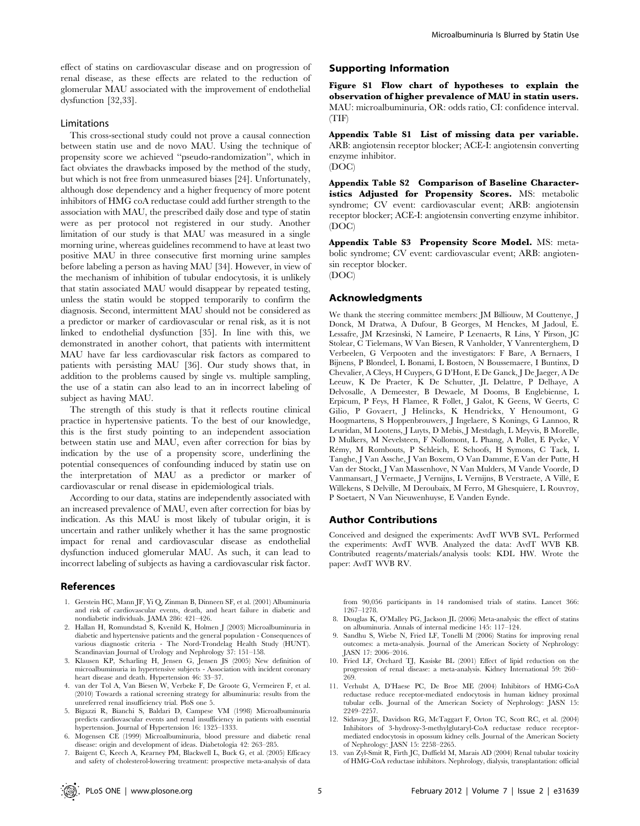effect of statins on cardiovascular disease and on progression of renal disease, as these effects are related to the reduction of glomerular MAU associated with the improvement of endothelial dysfunction [32,33].

## Limitations

This cross-sectional study could not prove a causal connection between statin use and de novo MAU. Using the technique of propensity score we achieved ''pseudo-randomization'', which in fact obviates the drawbacks imposed by the method of the study, but which is not free from unmeasured biases [24]. Unfortunately, although dose dependency and a higher frequency of more potent inhibitors of HMG coA reductase could add further strength to the association with MAU, the prescribed daily dose and type of statin were as per protocol not registered in our study. Another limitation of our study is that MAU was measured in a single morning urine, whereas guidelines recommend to have at least two positive MAU in three consecutive first morning urine samples before labeling a person as having MAU [34]. However, in view of the mechanism of inhibition of tubular endocytosis, it is unlikely that statin associated MAU would disappear by repeated testing, unless the statin would be stopped temporarily to confirm the diagnosis. Second, intermittent MAU should not be considered as a predictor or marker of cardiovascular or renal risk, as it is not linked to endothelial dysfunction [35]. In line with this, we demonstrated in another cohort, that patients with intermittent MAU have far less cardiovascular risk factors as compared to patients with persisting MAU [36]. Our study shows that, in addition to the problems caused by single vs. multiple sampling, the use of a statin can also lead to an in incorrect labeling of subject as having MAU.

The strength of this study is that it reflects routine clinical practice in hypertensive patients. To the best of our knowledge, this is the first study pointing to an independent association between statin use and MAU, even after correction for bias by indication by the use of a propensity score, underlining the potential consequences of confounding induced by statin use on the interpretation of MAU as a predictor or marker of cardiovascular or renal disease in epidemiological trials.

According to our data, statins are independently associated with an increased prevalence of MAU, even after correction for bias by indication. As this MAU is most likely of tubular origin, it is uncertain and rather unlikely whether it has the same prognostic impact for renal and cardiovascular disease as endothelial dysfunction induced glomerular MAU. As such, it can lead to incorrect labeling of subjects as having a cardiovascular risk factor.

#### References

- 1. Gerstein HC, Mann JF, Yi Q, Zinman B, Dinneen SF, et al. (2001) Albuminuria and risk of cardiovascular events, death, and heart failure in diabetic and nondiabetic individuals. JAMA 286: 421–426.
- 2. Hallan H, Romundstad S, Kvenild K, Holmen J (2003) Microalbuminuria in diabetic and hypertensive patients and the general population - Consequences of various diagnostic criteria - The Nord-Trondelag Health Study (HUNT). Scandinavian Journal of Urology and Nephrology 37: 151–158.
- 3. Klausen KP, Scharling H, Jensen G, Jensen JS (2005) New definition of microalbuminuria in hypertensive subjects - Association with incident coronary heart disease and death. Hypertension 46: 33–37.
- 4. van der Tol A, Van Biesen W, Verbeke F, De Groote G, Vermeiren F, et al. (2010) Towards a rational screening strategy for albuminuria: results from the unreferred renal insufficiency trial. PloS one 5.
- 5. Bigazzi R, Bianchi S, Baldari D, Campese VM (1998) Microalbuminuria predicts cardiovascular events and renal insufficiency in patients with essential hypertension. Journal of Hypertension 16: 1325–1333.
- 6. Mogensen CE (1999) Microalbuminuria, blood pressure and diabetic renal disease: origin and development of ideas. Diabetologia 42: 263–285.
- 7. Baigent C, Keech A, Kearney PM, Blackwell L, Buck G, et al. (2005) Efficacy and safety of cholesterol-lowering treatment: prospective meta-analysis of data

## Supporting Information

Figure S1 Flow chart of hypotheses to explain the observation of higher prevalence of MAU in statin users. MAU: microalbuminuria, OR: odds ratio, CI: confidence interval. (TIF)

Appendix Table S1 List of missing data per variable. ARB: angiotensin receptor blocker; ACE-I: angiotensin converting enzyme inhibitor. (DOC)

Appendix Table S2 Comparison of Baseline Characteristics Adjusted for Propensity Scores. MS: metabolic syndrome; CV event: cardiovascular event; ARB: angiotensin receptor blocker; ACE-I: angiotensin converting enzyme inhibitor. (DOC)

Appendix Table S3 Propensity Score Model. MS: metabolic syndrome; CV event: cardiovascular event; ARB: angiotensin receptor blocker. (DOC)

#### Acknowledgments

We thank the steering committee members: JM Billiouw, M Couttenye, J Donck, M Dratwa, A Dufour, B Georges, M Henckes, M Jadoul, E. Lessafre, JM Krzesinski, N Lameire, P Leenaerts, R Lins, Y Pirson, JC Stolear, C Tielemans, W Van Biesen, R Vanholder, Y Vanrenterghem, D Verbeelen, G Verpooten and the investigators: F Bare, A Bernaers, I Bijnens, P Blondeel, L Bonami, L Bostoen, N Boussemaere, I Buntinx, D Chevalier, A Cleys, H Cuypers, G D'Hont, E De Ganck, J De Jaeger, A De Leeuw, K De Praeter, K De Schutter, JL Delattre, P Delhaye, A Delvosalle, A Demeester, B Dewaele, M Dooms, B Englebienne, L Erpicum, P Feys, H Flamee, R Follet, J Galot, K Geens, W Geerts, C Gilio, P Govaert, J Helincks, K Hendrickx, Y Henoumont, G Hoogmartens, S Hoppenbrouwers, J Ingelaere, S Konings, G Lannoo, R Leuridan, M Lootens, J Luyts, D Mebis, J Mestdagh, L Meyvis, B Morelle, D Mulkers, M Nevelsteen, F Nollomont, L Phang, A Pollet, E Pycke, V Re´my, M Rombouts, P Schleich, E Schoofs, H Symons, C Tack, L Tanghe, J Van Assche, J Van Boxem, O Van Damme, E Van der Putte, H Van der Stockt, J Van Massenhove, N Van Mulders, M Vande Voorde, D Vanmansart, J Vermaete, J Vernijns, L Vernijns, B Verstraete, A Ville´, E Willekens, S Delville, M Deroubaix, M Ferro, M Ghesquiere, L Rouvroy, P Soetaert, N Van Nieuwenhuyse, E Vanden Eynde.

#### Author Contributions

Conceived and designed the experiments: AvdT WVB SVL. Performed the experiments: AvdT WVB. Analyzed the data: AvdT WVB KB. Contributed reagents/materials/analysis tools: KDL HW. Wrote the paper: AvdT WVB RV.

from 90,056 participants in 14 randomised trials of statins. Lancet 366: 1267–1278.

- 8. Douglas K, O'Malley PG, Jackson JL (2006) Meta-analysis: the effect of statins on albuminuria. Annals of internal medicine 145: 117–124.
- 9. Sandhu S, Wiebe N, Fried LF, Tonelli M (2006) Statins for improving renal outcomes: a meta-analysis. Journal of the American Society of Nephrology: JASN 17: 2006–2016.
- 10. Fried LF, Orchard TJ, Kasiske BL (2001) Effect of lipid reduction on the progression of renal disease: a meta-analysis. Kidney International 59: 260– 269.
- 11. Verhulst A, D'Haese PC, De Broe ME (2004) Inhibitors of HMG-CoA reductase reduce receptor-mediated endocytosis in human kidney proximal tubular cells. Journal of the American Society of Nephrology: JASN 15: 2249–2257.
- 12. Sidaway JE, Davidson RG, McTaggart F, Orton TC, Scott RC, et al. (2004) Inhibitors of 3-hydroxy-3-methylglutaryl-CoA reductase reduce receptormediated endocytosis in opossum kidney cells. Journal of the American Society of Nephrology: JASN 15: 2258–2265.
- 13. van Zyl-Smit R, Firth JC, Duffield M, Marais AD (2004) Renal tubular toxicity of HMG-CoA reductase inhibitors. Nephrology, dialysis, transplantation: official